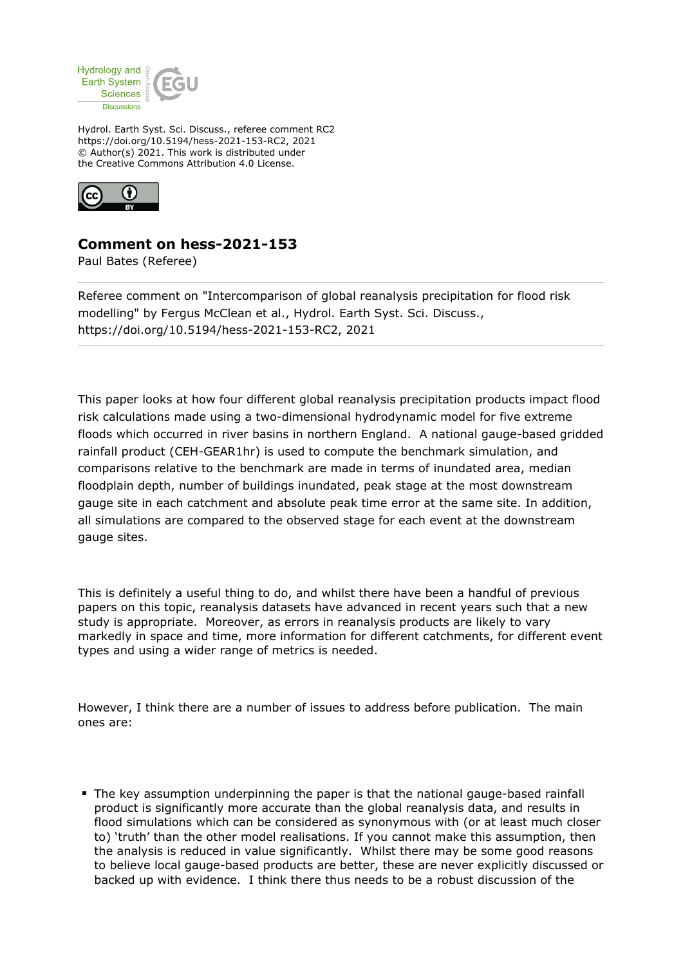

Hydrol. Earth Syst. Sci. Discuss., referee comment RC2 https://doi.org/10.5194/hess-2021-153-RC2, 2021 © Author(s) 2021. This work is distributed under the Creative Commons Attribution 4.0 License.



## **Comment on hess-2021-153**

Paul Bates (Referee)

Referee comment on "Intercomparison of global reanalysis precipitation for flood risk modelling" by Fergus McClean et al., Hydrol. Earth Syst. Sci. Discuss., https://doi.org/10.5194/hess-2021-153-RC2, 2021

This paper looks at how four different global reanalysis precipitation products impact flood risk calculations made using a two-dimensional hydrodynamic model for five extreme floods which occurred in river basins in northern England. A national gauge-based gridded rainfall product (CEH-GEAR1hr) is used to compute the benchmark simulation, and comparisons relative to the benchmark are made in terms of inundated area, median floodplain depth, number of buildings inundated, peak stage at the most downstream gauge site in each catchment and absolute peak time error at the same site. In addition, all simulations are compared to the observed stage for each event at the downstream gauge sites.

This is definitely a useful thing to do, and whilst there have been a handful of previous papers on this topic, reanalysis datasets have advanced in recent years such that a new study is appropriate. Moreover, as errors in reanalysis products are likely to vary markedly in space and time, more information for different catchments, for different event types and using a wider range of metrics is needed.

However, I think there are a number of issues to address before publication. The main ones are:

The key assumption underpinning the paper is that the national gauge-based rainfall product is significantly more accurate than the global reanalysis data, and results in flood simulations which can be considered as synonymous with (or at least much closer to) 'truth' than the other model realisations. If you cannot make this assumption, then the analysis is reduced in value significantly. Whilst there may be some good reasons to believe local gauge-based products are better, these are never explicitly discussed or backed up with evidence. I think there thus needs to be a robust discussion of the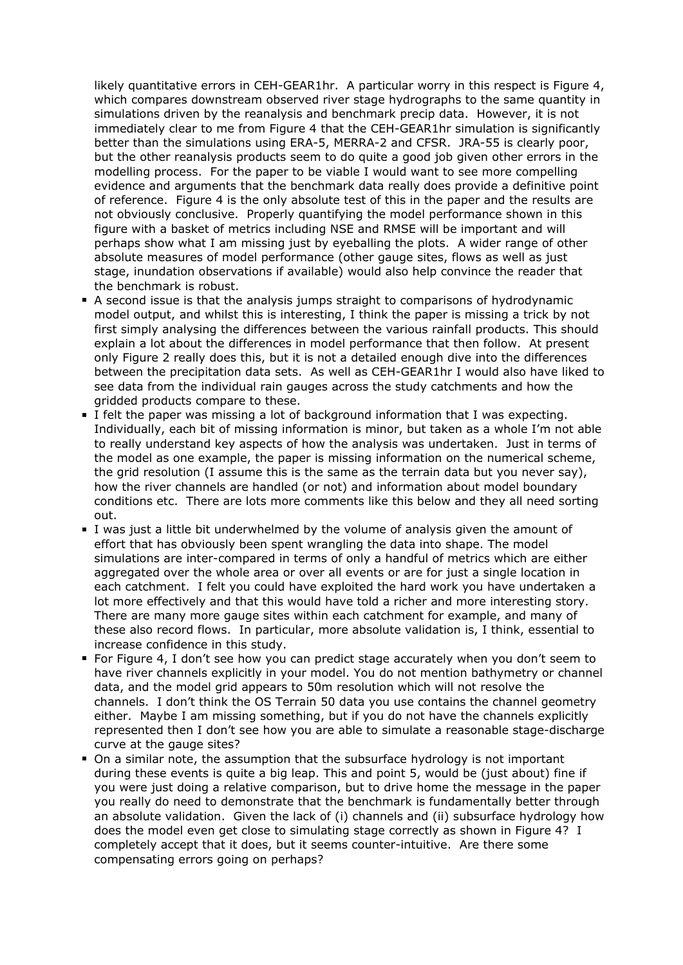likely quantitative errors in CEH-GEAR1hr. A particular worry in this respect is Figure 4, which compares downstream observed river stage hydrographs to the same quantity in simulations driven by the reanalysis and benchmark precip data. However, it is not immediately clear to me from Figure 4 that the CEH-GEAR1hr simulation is significantly better than the simulations using ERA-5, MERRA-2 and CFSR. JRA-55 is clearly poor, but the other reanalysis products seem to do quite a good job given other errors in the modelling process. For the paper to be viable I would want to see more compelling evidence and arguments that the benchmark data really does provide a definitive point of reference. Figure 4 is the only absolute test of this in the paper and the results are not obviously conclusive. Properly quantifying the model performance shown in this figure with a basket of metrics including NSE and RMSE will be important and will perhaps show what I am missing just by eyeballing the plots. A wider range of other absolute measures of model performance (other gauge sites, flows as well as just stage, inundation observations if available) would also help convince the reader that the benchmark is robust.

- A second issue is that the analysis jumps straight to comparisons of hydrodynamic model output, and whilst this is interesting, I think the paper is missing a trick by not first simply analysing the differences between the various rainfall products. This should explain a lot about the differences in model performance that then follow. At present only Figure 2 really does this, but it is not a detailed enough dive into the differences between the precipitation data sets. As well as CEH-GEAR1hr I would also have liked to see data from the individual rain gauges across the study catchments and how the gridded products compare to these.
- I felt the paper was missing a lot of background information that I was expecting. Individually, each bit of missing information is minor, but taken as a whole I'm not able to really understand key aspects of how the analysis was undertaken. Just in terms of the model as one example, the paper is missing information on the numerical scheme, the grid resolution (I assume this is the same as the terrain data but you never say), how the river channels are handled (or not) and information about model boundary conditions etc. There are lots more comments like this below and they all need sorting out.
- I was just a little bit underwhelmed by the volume of analysis given the amount of effort that has obviously been spent wrangling the data into shape. The model simulations are inter-compared in terms of only a handful of metrics which are either aggregated over the whole area or over all events or are for just a single location in each catchment. I felt you could have exploited the hard work you have undertaken a lot more effectively and that this would have told a richer and more interesting story. There are many more gauge sites within each catchment for example, and many of these also record flows. In particular, more absolute validation is, I think, essential to increase confidence in this study.
- For Figure 4, I don't see how you can predict stage accurately when you don't seem to have river channels explicitly in your model. You do not mention bathymetry or channel data, and the model grid appears to 50m resolution which will not resolve the channels. I don't think the OS Terrain 50 data you use contains the channel geometry either. Maybe I am missing something, but if you do not have the channels explicitly represented then I don't see how you are able to simulate a reasonable stage-discharge curve at the gauge sites?
- On a similar note, the assumption that the subsurface hydrology is not important during these events is quite a big leap. This and point 5, would be (just about) fine if you were just doing a relative comparison, but to drive home the message in the paper you really do need to demonstrate that the benchmark is fundamentally better through an absolute validation. Given the lack of (i) channels and (ii) subsurface hydrology how does the model even get close to simulating stage correctly as shown in Figure 4? I completely accept that it does, but it seems counter-intuitive. Are there some compensating errors going on perhaps?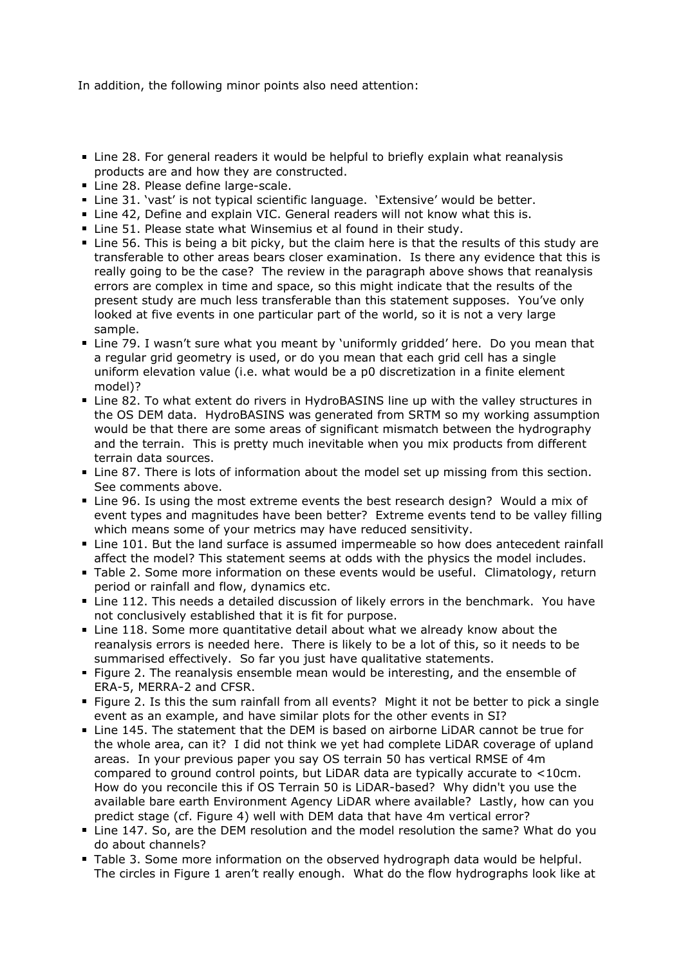In addition, the following minor points also need attention:

- Line 28. For general readers it would be helpful to briefly explain what reanalysis products are and how they are constructed.
- Line 28. Please define large-scale.
- Line 31. 'vast' is not typical scientific language. 'Extensive' would be better.
- Line 42, Define and explain VIC. General readers will not know what this is.
- Line 51. Please state what Winsemius et al found in their study.
- Line 56. This is being a bit picky, but the claim here is that the results of this study are transferable to other areas bears closer examination. Is there any evidence that this is really going to be the case? The review in the paragraph above shows that reanalysis errors are complex in time and space, so this might indicate that the results of the present study are much less transferable than this statement supposes. You've only looked at five events in one particular part of the world, so it is not a very large sample.
- Line 79. I wasn't sure what you meant by 'uniformly gridded' here. Do you mean that a regular grid geometry is used, or do you mean that each grid cell has a single uniform elevation value (i.e. what would be a p0 discretization in a finite element model)?
- Line 82. To what extent do rivers in HydroBASINS line up with the valley structures in the OS DEM data. HydroBASINS was generated from SRTM so my working assumption would be that there are some areas of significant mismatch between the hydrography and the terrain. This is pretty much inevitable when you mix products from different terrain data sources.
- Line 87. There is lots of information about the model set up missing from this section. See comments above.
- Line 96. Is using the most extreme events the best research design? Would a mix of event types and magnitudes have been better? Extreme events tend to be valley filling which means some of your metrics may have reduced sensitivity.
- Line 101. But the land surface is assumed impermeable so how does antecedent rainfall affect the model? This statement seems at odds with the physics the model includes.
- Table 2. Some more information on these events would be useful. Climatology, return period or rainfall and flow, dynamics etc.
- Line 112. This needs a detailed discussion of likely errors in the benchmark. You have not conclusively established that it is fit for purpose.
- Line 118. Some more quantitative detail about what we already know about the reanalysis errors is needed here. There is likely to be a lot of this, so it needs to be summarised effectively. So far you just have qualitative statements.
- Figure 2. The reanalysis ensemble mean would be interesting, and the ensemble of ERA-5, MERRA-2 and CFSR.
- Figure 2. Is this the sum rainfall from all events? Might it not be better to pick a single event as an example, and have similar plots for the other events in SI?
- Line 145. The statement that the DEM is based on airborne LiDAR cannot be true for the whole area, can it? I did not think we yet had complete LiDAR coverage of upland areas. In your previous paper you say OS terrain 50 has vertical RMSE of 4m compared to ground control points, but LiDAR data are typically accurate to <10cm. How do you reconcile this if OS Terrain 50 is LiDAR-based? Why didn't you use the available bare earth Environment Agency LiDAR where available? Lastly, how can you predict stage (cf. Figure 4) well with DEM data that have 4m vertical error?
- Line 147. So, are the DEM resolution and the model resolution the same? What do you do about channels?
- Table 3. Some more information on the observed hydrograph data would be helpful. The circles in Figure 1 aren't really enough. What do the flow hydrographs look like at